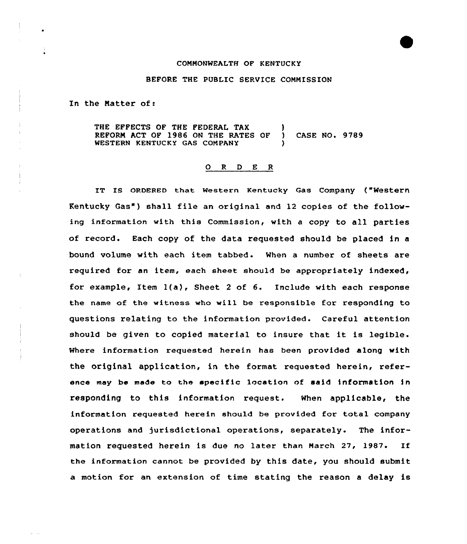## COMMONWEALTH OF KENTUCKY

## BEFORE THE PUBLIC SERVICE CONNISSION

In the Matter of:

THE EFFECTS OF THE FEDERAL TAX (1) REFORM ACT OF 1986 ON THE RATES OF ) CASE NO. 9789 WESTERN KENTUCKY GAS CONPANY

## 0 <sup>R</sup> <sup>D</sup> E <sup>R</sup>

IT IS ORDERED that Western Kentucky Gas Company ("Western Kentucky Gas") shall file an original and 12 copies of the following information with this Commission, with a copy to all parties of record. Each copy of the data requested should be placed in a bound volume with each item tabbed . When <sup>a</sup> number of sheets are required for an item, each sheet should be appropriately indexed, for example, Item l(a), Sheet <sup>2</sup> of 6. Include with each response the name of the witness who will be responsible for responding to questions relating to the information provided. Careful attention should be given to copied material to insure that it is legible. Where information requested herein has been provided along with the original application, in the format requested herein, reference may be made to the specific location of said information in responding to this information request. When applicable, the information requested herein should be provided for total company operations and jurisdictional operations, separately. The information requested herein is due no later than March 27, 1987. If the information cannot be provided by this date, you should submit a motion for an extension of time stating the reason a delay is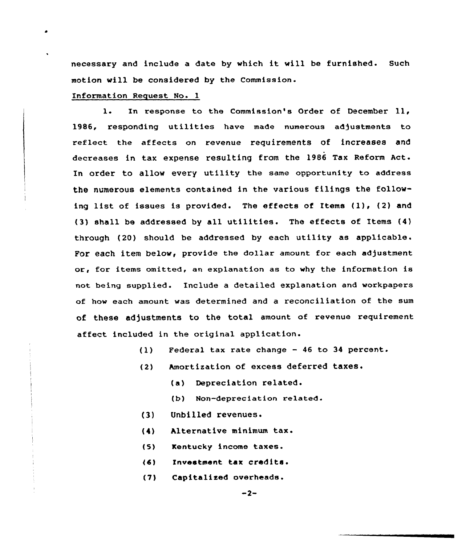necessary and include a date by which it will be furnished. Such motion will be considered by the Commission.

## Information Request No. 1

l. In response to the Commission's Order of December ll, 1986, responding utilities have made numerous adjustments to reflect the affects on revenue requirements of increases and decreases in tax expense resulting from the 1986 Tax Reform Act. In order to allow every utility the same opportunity to address the numerous elements contained in the various filings the following list of issues is provided. The effects of Items (1), (2) and (3) shall be addressed by all utilities. The effects of Items (4) through (20) should be addressed by each utility as applicable. For each item below, provide the dollar amount for each adjustment or, for items omitted, an explanation as to why the information is not being supplied. Include a detailed explanation and workpapers of how each amount was determined and a reconciliation of the sum of these adjustments to the total amount of revenue requirement affect included in the original application.

- (1) Federal tax rate change <sup>46</sup> to 34 percent.
- (2) Amortization of excess deferred taxes.
	- (a) Depreciation related.
	- (b) Non-depreciation related.
- {3) Unbilled revenues.
- {4) Alternative minimum tax.
- (5) Kentucky income taxes.
- (6) Investment tax credits <sup>~</sup>
- (7) Capitalized overheads.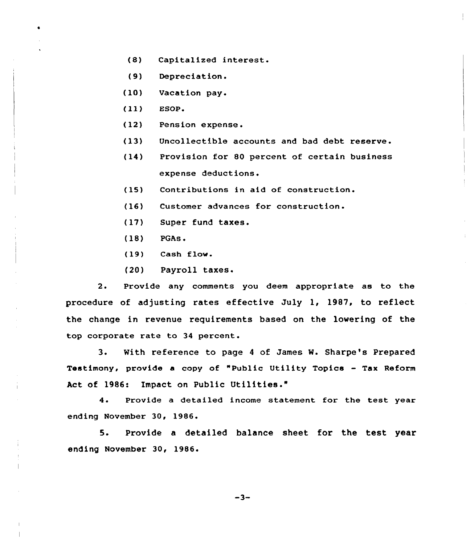- (8) Capitalized interest.
- (9) Depreciation.
- (10) Vacation pay.
- $(11)$  ESOP.
- (12) Pension expense.
- (13) Uncollectible accounts and bad debt reserve.
- (14) Provision for 80 percent of certain business expense deductions.
- (15) Contributions in aid of construction.
- (16) Customer advances for construction.
- (17) Super fund taxes.
- (18) PGAs <sup>~</sup>
- (19) Cash flow.
- (20) Payroll taxes.

2. Provide any comments you deem appropriate as to the procedure of adjusting rates effective July 1, 1987, to reflect the change in revenue requirements based on the lowering of the top corporate rate to 34 percent.

3. With reference to page <sup>4</sup> of James W. Sharpe's Prepared Testimony, provide a copy of "Public Utility Topics — Tax Reform Act of 1986: Impact on Public Utilities."

4. Provide a detailed income statement for the test year ending November 30, 1986.

5. Provide a detailed balance sheet for the test year ending November 30, 1986.

 $-3-$